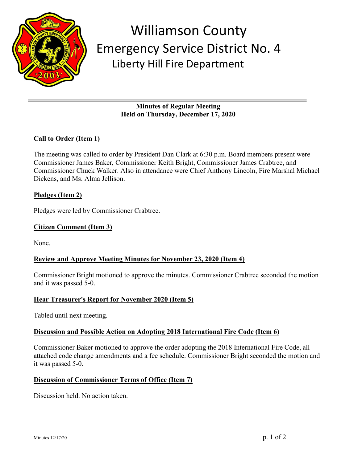

# Williamson County Emergency Service District No. 4 Liberty Hill Fire Department

**Minutes of Regular Meeting Held on Thursday, December 17, 2020**

## **Call to Order (Item 1)**

The meeting was called to order by President Dan Clark at 6:30 p.m. Board members present were Commissioner James Baker, Commissioner Keith Bright, Commissioner James Crabtree, and Commissioner Chuck Walker. Also in attendance were Chief Anthony Lincoln, Fire Marshal Michael Dickens, and Ms. Alma Jellison.

## **Pledges (Item 2)**

Pledges were led by Commissioner Crabtree.

#### **Citizen Comment (Item 3)**

None.

## **Review and Approve Meeting Minutes for November 23, 2020 (Item 4)**

Commissioner Bright motioned to approve the minutes. Commissioner Crabtree seconded the motion and it was passed 5-0.

## **Hear Treasurer's Report for November 2020 (Item 5)**

Tabled until next meeting.

#### **Discussion and Possible Action on Adopting 2018 International Fire Code (Item 6)**

Commissioner Baker motioned to approve the order adopting the 2018 International Fire Code, all attached code change amendments and a fee schedule. Commissioner Bright seconded the motion and it was passed 5-0.

#### **Discussion of Commissioner Terms of Office (Item 7)**

Discussion held. No action taken.